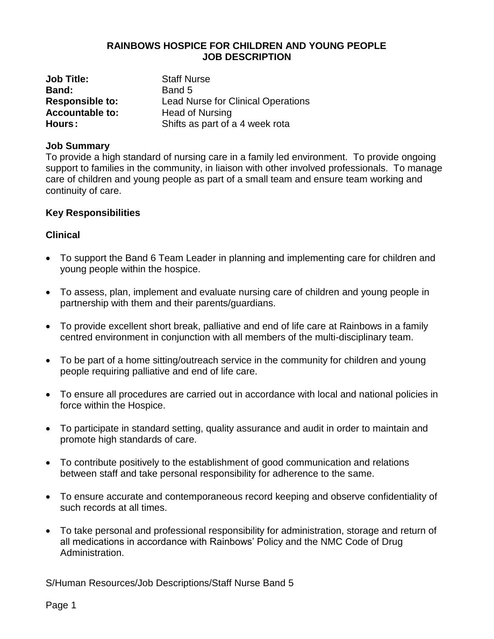## **RAINBOWS HOSPICE FOR CHILDREN AND YOUNG PEOPLE JOB DESCRIPTION**

| <b>Job Title:</b>      | <b>Staff Nurse</b>                        |
|------------------------|-------------------------------------------|
| Band:                  | Band 5                                    |
| <b>Responsible to:</b> | <b>Lead Nurse for Clinical Operations</b> |
| <b>Accountable to:</b> | <b>Head of Nursing</b>                    |
| Hours:                 | Shifts as part of a 4 week rota           |

### **Job Summary**

To provide a high standard of nursing care in a family led environment. To provide ongoing support to families in the community, in liaison with other involved professionals. To manage care of children and young people as part of a small team and ensure team working and continuity of care.

#### **Key Responsibilities**

#### **Clinical**

- To support the Band 6 Team Leader in planning and implementing care for children and young people within the hospice.
- To assess, plan, implement and evaluate nursing care of children and young people in partnership with them and their parents/guardians.
- To provide excellent short break, palliative and end of life care at Rainbows in a family centred environment in conjunction with all members of the multi-disciplinary team.
- To be part of a home sitting/outreach service in the community for children and young people requiring palliative and end of life care.
- To ensure all procedures are carried out in accordance with local and national policies in force within the Hospice.
- To participate in standard setting, quality assurance and audit in order to maintain and promote high standards of care.
- To contribute positively to the establishment of good communication and relations between staff and take personal responsibility for adherence to the same.
- To ensure accurate and contemporaneous record keeping and observe confidentiality of such records at all times.
- To take personal and professional responsibility for administration, storage and return of all medications in accordance with Rainbows' Policy and the NMC Code of Drug Administration.

S/Human Resources/Job Descriptions/Staff Nurse Band 5

Page 1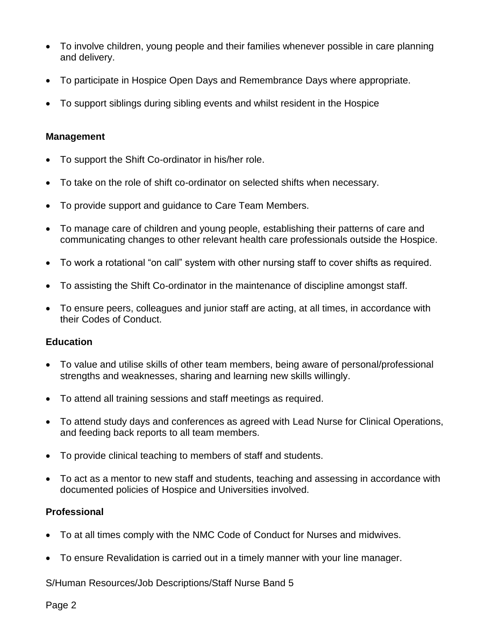- To involve children, young people and their families whenever possible in care planning and delivery.
- To participate in Hospice Open Days and Remembrance Days where appropriate.
- To support siblings during sibling events and whilst resident in the Hospice

## **Management**

- To support the Shift Co-ordinator in his/her role.
- To take on the role of shift co-ordinator on selected shifts when necessary.
- To provide support and guidance to Care Team Members.
- To manage care of children and young people, establishing their patterns of care and communicating changes to other relevant health care professionals outside the Hospice.
- To work a rotational "on call" system with other nursing staff to cover shifts as required.
- To assisting the Shift Co-ordinator in the maintenance of discipline amongst staff.
- To ensure peers, colleagues and junior staff are acting, at all times, in accordance with their Codes of Conduct.

# **Education**

- To value and utilise skills of other team members, being aware of personal/professional strengths and weaknesses, sharing and learning new skills willingly.
- To attend all training sessions and staff meetings as required.
- To attend study days and conferences as agreed with Lead Nurse for Clinical Operations, and feeding back reports to all team members.
- To provide clinical teaching to members of staff and students.
- To act as a mentor to new staff and students, teaching and assessing in accordance with documented policies of Hospice and Universities involved.

# **Professional**

- To at all times comply with the NMC Code of Conduct for Nurses and midwives.
- To ensure Revalidation is carried out in a timely manner with your line manager.

S/Human Resources/Job Descriptions/Staff Nurse Band 5

Page 2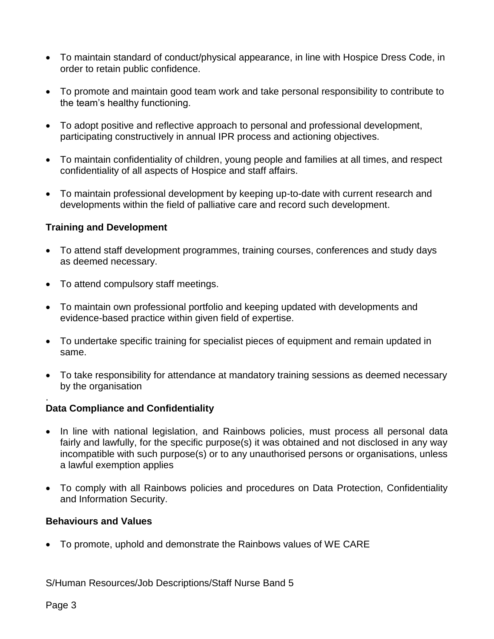- To maintain standard of conduct/physical appearance, in line with Hospice Dress Code, in order to retain public confidence.
- To promote and maintain good team work and take personal responsibility to contribute to the team's healthy functioning.
- To adopt positive and reflective approach to personal and professional development, participating constructively in annual IPR process and actioning objectives.
- To maintain confidentiality of children, young people and families at all times, and respect confidentiality of all aspects of Hospice and staff affairs.
- To maintain professional development by keeping up-to-date with current research and developments within the field of palliative care and record such development.

## **Training and Development**

- To attend staff development programmes, training courses, conferences and study days as deemed necessary.
- To attend compulsory staff meetings.
- To maintain own professional portfolio and keeping updated with developments and evidence-based practice within given field of expertise.
- To undertake specific training for specialist pieces of equipment and remain updated in same.
- To take responsibility for attendance at mandatory training sessions as deemed necessary by the organisation

#### . **Data Compliance and Confidentiality**

- In line with national legislation, and Rainbows policies, must process all personal data fairly and lawfully, for the specific purpose(s) it was obtained and not disclosed in any way incompatible with such purpose(s) or to any unauthorised persons or organisations, unless a lawful exemption applies
- To comply with all Rainbows policies and procedures on Data Protection, Confidentiality and Information Security.

## **Behaviours and Values**

• To promote, uphold and demonstrate the Rainbows values of WE CARE

S/Human Resources/Job Descriptions/Staff Nurse Band 5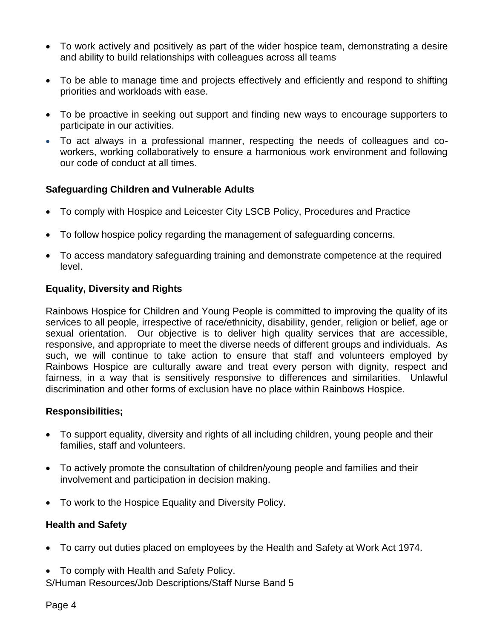- To work actively and positively as part of the wider hospice team, demonstrating a desire and ability to build relationships with colleagues across all teams
- To be able to manage time and projects effectively and efficiently and respond to shifting priorities and workloads with ease.
- To be proactive in seeking out support and finding new ways to encourage supporters to participate in our activities.
- To act always in a professional manner, respecting the needs of colleagues and coworkers, working collaboratively to ensure a harmonious work environment and following our code of conduct at all times.

## **Safeguarding Children and Vulnerable Adults**

- To comply with Hospice and Leicester City LSCB Policy, Procedures and Practice
- To follow hospice policy regarding the management of safeguarding concerns.
- To access mandatory safeguarding training and demonstrate competence at the required level.

## **Equality, Diversity and Rights**

Rainbows Hospice for Children and Young People is committed to improving the quality of its services to all people, irrespective of race/ethnicity, disability, gender, religion or belief, age or sexual orientation. Our objective is to deliver high quality services that are accessible, responsive, and appropriate to meet the diverse needs of different groups and individuals. As such, we will continue to take action to ensure that staff and volunteers employed by Rainbows Hospice are culturally aware and treat every person with dignity, respect and fairness, in a way that is sensitively responsive to differences and similarities. Unlawful discrimination and other forms of exclusion have no place within Rainbows Hospice.

## **Responsibilities;**

- To support equality, diversity and rights of all including children, young people and their families, staff and volunteers.
- To actively promote the consultation of children/young people and families and their involvement and participation in decision making.
- To work to the Hospice Equality and Diversity Policy.

## **Health and Safety**

- To carry out duties placed on employees by the Health and Safety at Work Act 1974.
- S/Human Resources/Job Descriptions/Staff Nurse Band 5 • To comply with Health and Safety Policy.